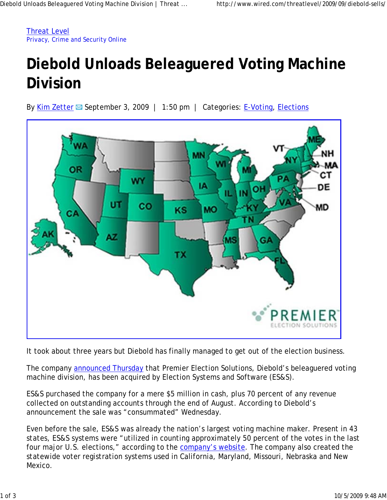Threat Level Privacy, Crime and Security Online

## **Diebold Unloads Beleaguered Voting Machine Division**

By Kim Zetter  $\boxtimes$  September 3, 2009 | 1:50 pm | Categories: E-Voting, Elections



It took about three years but Diebold has finally managed to get out of the election business.

The company announced Thursday that Premier Election Solutions, Diebold's beleaguered voting machine division, has been acquired by Election Systems and Software (ES&S).

ES&S purchased the company for a mere \$5 million in cash, plus 70 percent of any revenue collected on outstanding accounts through the end of August. According to Diebold's announcement the sale was "consummated" Wednesday.

Even before the sale, ES&S was already the nation's largest voting machine maker. Present in 43 states, ES&S systems were "utilized in counting approximately 50 percent of the votes in the last four major U.S. elections," according to the company's website. The company also created the statewide voter registration systems used in California, Maryland, Missouri, Nebraska and New Mexico.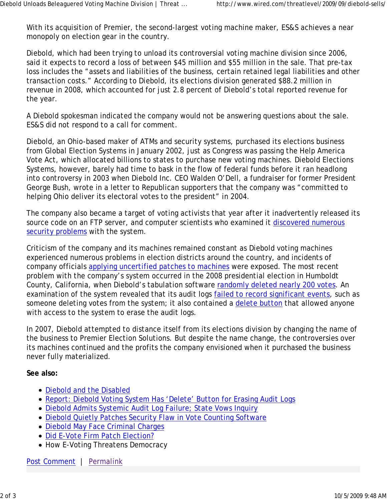With its acquisition of Premier, the second-largest voting machine maker, ES&S achieves a near monopoly on election gear in the country.

Diebold, which had been trying to unload its controversial voting machine division since 2006, said it expects to record a loss of between \$45 million and \$55 million in the sale. That pre-tax loss includes the "assets and liabilities of the business, certain retained legal liabilities and other transaction costs." According to Diebold, its elections division generated \$88.2 million in revenue in 2008, which accounted for just 2.8 percent of Diebold's total reported revenue for the year.

A Diebold spokesman indicated the company would not be answering questions about the sale. ES&S did not respond to a call for comment.

Diebold, an Ohio-based maker of ATMs and security systems, purchased its elections business from Global Election Systems in January 2002, just as Congress was passing the Help America Vote Act, which allocated billions to states to purchase new voting machines. Diebold Elections Systems, however, barely had time to bask in the flow of federal funds before it ran headlong into controversy in 2003 when Diebold Inc. CEO Walden O'Dell, a fundraiser for former President George Bush, wrote in a letter to Republican supporters that the company was "committed to helping Ohio deliver its electoral votes to the president" in 2004.

The company also became a target of voting activists that year after it inadvertently released its source code on an FTP server, and computer scientists who examined it discovered numerous security problems with the system.

Criticism of the company and its machines remained constant as Diebold voting machines experienced numerous problems in election districts around the country, and incidents of company officials applying uncertified patches to machines were exposed. The most recent problem with the company's system occurred in the 2008 presidential election in Humboldt County, California, when Diebold's tabulation software randomly deleted nearly 200 votes. An examination of the system revealed that its audit logs failed to record significant events, such as someone deleting votes from the system; it also contained a delete button that allowed anyone with access to the system to erase the audit logs.

In 2007, Diebold attempted to distance itself from its elections division by changing the name of the business to Premier Election Solutions. But despite the name change, the controversies over its machines continued and the profits the company envisioned when it purchased the business never fully materialized.

**See also:**

- Diebold and the Disabled
- Report: Diebold Voting System Has 'Delete' Button for Erasing Audit Logs
- Diebold Admits Systemic Audit Log Failure; State Vows Inquiry
- Diebold Quietly Patches Security Flaw in Vote Counting Software
- Diebold May Face Criminal Charges
- Did E-Vote Firm Patch Election?
- How E-Voting Threatens Democracy

Post Comment | Permalink